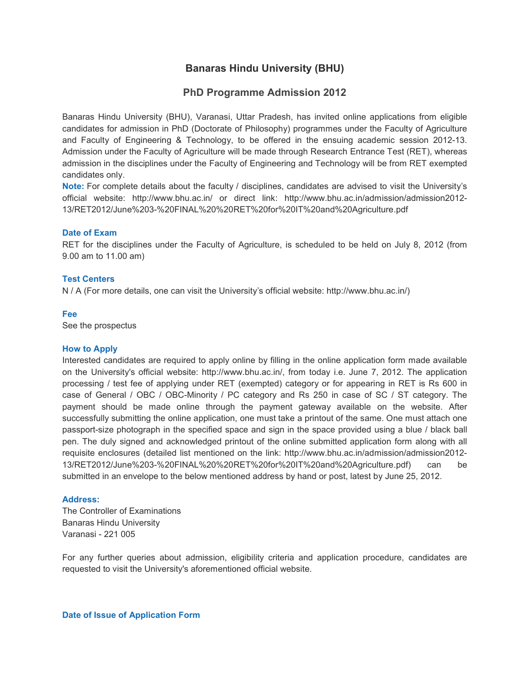# **Banaras Hindu University (BHU)**

## **PhD Programme Admission 2012**

Banaras Hindu University (BHU), Varanasi, Uttar Pradesh, has invited online applications from eligible candidates for admission in PhD (Doctorate of Philosophy) programmes under the Faculty of Agriculture and Faculty of Engineering & Technology, to be offered in the ensuing academic session 2012-13. Admission under the Faculty of Agriculture will be made through Research Entrance Test (RET), whereas admission in the disciplines under the Faculty of Engineering and Technology will be from RET exempted candidates only.

**Note:** For complete details about the faculty / disciplines, candidates are advised to visit the University's official website: http://www.bhu.ac.in/ or direct link: http://www.bhu.ac.in/admission/admission2012- 13/RET2012/June%203-%20FINAL%20%20RET%20for%20IT%20and%20Agriculture.pdf

### **Date of Exam**

RET for the disciplines under the Faculty of Agriculture, is scheduled to be held on July 8, 2012 (from 9.00 am to 11.00 am)

### **Test Centers**

N / A (For more details, one can visit the University's official website: http://www.bhu.ac.in/)

### **Fee**

See the prospectus

#### **How to Apply**

Interested candidates are required to apply online by filling in the online application form made available on the University's official website: http://www.bhu.ac.in/, from today i.e. June 7, 2012. The application processing / test fee of applying under RET (exempted) category or for appearing in RET is Rs 600 in case of General / OBC / OBC-Minority / PC category and Rs 250 in case of SC / ST category. The payment should be made online through the payment gateway available on the website. After successfully submitting the online application, one must take a printout of the same. One must attach one passport-size photograph in the specified space and sign in the space provided using a blue / black ball pen. The duly signed and acknowledged printout of the online submitted application form along with all requisite enclosures (detailed list mentioned on the link: http://www.bhu.ac.in/admission/admission2012- 13/RET2012/June%203-%20FINAL%20%20RET%20for%20IT%20and%20Agriculture.pdf) can be submitted in an envelope to the below mentioned address by hand or post, latest by June 25, 2012.

### **Address:**

The Controller of Examinations Banaras Hindu University Varanasi - 221 005

For any further queries about admission, eligibility criteria and application procedure, candidates are requested to visit the University's aforementioned official website.